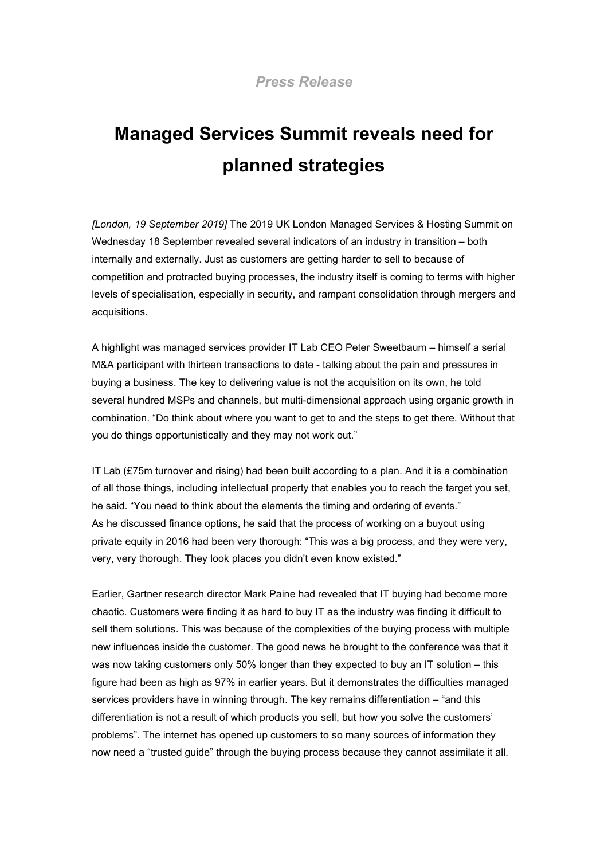## **Managed Services Summit reveals need for planned strategies**

*[London, 19 September 2019]* The 2019 UK London Managed Services & Hosting Summit on Wednesday 18 September revealed several indicators of an industry in transition – both internally and externally. Just as customers are getting harder to sell to because of competition and protracted buying processes, the industry itself is coming to terms with higher levels of specialisation, especially in security, and rampant consolidation through mergers and acquisitions.

A highlight was managed services provider IT Lab CEO Peter Sweetbaum – himself a serial M&A participant with thirteen transactions to date - talking about the pain and pressures in buying a business. The key to delivering value is not the acquisition on its own, he told several hundred MSPs and channels, but multi-dimensional approach using organic growth in combination. "Do think about where you want to get to and the steps to get there. Without that you do things opportunistically and they may not work out."

IT Lab  $(E75m$  turnover and rising) had been built according to a plan. And it is a combination of all those things, including intellectual property that enables you to reach the target you set, he said. "You need to think about the elements the timing and ordering of events." As he discussed finance options, he said that the process of working on a buyout using private equity in 2016 had been very thorough: "This was a big process, and they were very, very, very thorough. They look places you didn't even know existed."

Earlier, Gartner research director Mark Paine had revealed that IT buying had become more chaotic. Customers were finding it as hard to buy IT as the industry was finding it difficult to sell them solutions. This was because of the complexities of the buying process with multiple new influences inside the customer. The good news he brought to the conference was that it was now taking customers only 50% longer than they expected to buy an IT solution – this figure had been as high as 97% in earlier years. But it demonstrates the difficulties managed services providers have in winning through. The key remains differentiation – "and this differentiation is not a result of which products you sell, but how you solve the customers' problems". The internet has opened up customers to so many sources of information they now need a "trusted guide" through the buying process because they cannot assimilate it all.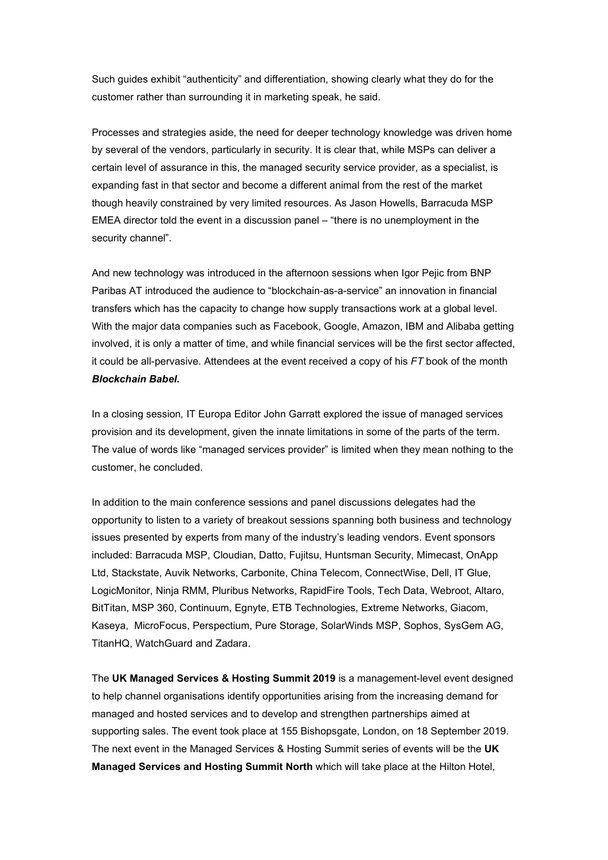Such guides exhibit "authenticity" and differentiation, showing clearly what they do for the customer rather than surrounding it in marketing speak, he said.

Processes and strategies aside, the need for deeper technology knowledge was driven home by several of the vendors, particularly in security. It is clear that, while MSPs can deliver a certain level of assurance in this, the managed security service provider, as a specialist, is expanding fast in that sector and become a different animal from the rest of the market though heavily constrained by very limited resources. As Jason Howells, Barracuda MSP EMEA director told the event in a discussion panel – "there is no unemployment in the security channel".

And new technology was introduced in the afternoon sessions when Igor Pejic from BNP Paribas AT introduced the audience to "blockchain-as-a-service" an innovation in financial transfers which has the capacity to change how supply transactions work at a global level. With the major data companies such as Facebook, Google, Amazon, IBM and Alibaba getting involved, it is only a matter of time, and while financial services will be the first sector affected, it could be all-pervasive. Attendees at the event received a copy of his *FT* book of the month *Blockchain Babel.*

In a closing session*,* IT Europa Editor John Garratt explored the issue of managed services provision and its development, given the innate limitations in some of the parts of the term. The value of words like "managed services provider" is limited when they mean nothing to the customer, he concluded.

In addition to the main conference sessions and panel discussions delegates had the opportunity to listen to a variety of breakout sessions spanning both business and technology issues presented by experts from many of the industry's leading vendors. Event sponsors included: Barracuda MSP, Cloudian, Datto, Fujitsu, Huntsman Security, Mimecast, OnApp Ltd, Stackstate, Auvik Networks, Carbonite, China Telecom, ConnectWise, Dell, IT Glue, LogicMonitor, Ninja RMM, Pluribus Networks, RapidFire Tools, Tech Data, Webroot, Altaro, BitTitan, MSP 360, Continuum, Egnyte, ETB Technologies, Extreme Networks, Giacom, Kaseya, MicroFocus, Perspectium, Pure Storage, SolarWinds MSP, Sophos, SysGem AG, TitanHQ, WatchGuard and Zadara.

The **UK Managed Services & Hosting Summit 2019** is a management-level event designed to help channel organisations identify opportunities arising from the increasing demand for managed and hosted services and to develop and strengthen partnerships aimed at supporting sales. The event took place at 155 Bishopsgate, London, on 18 September 2019. The next event in the Managed Services & Hosting Summit series of events will be the **UK Managed Services and Hosting Summit North** which will take place at the Hilton Hotel,